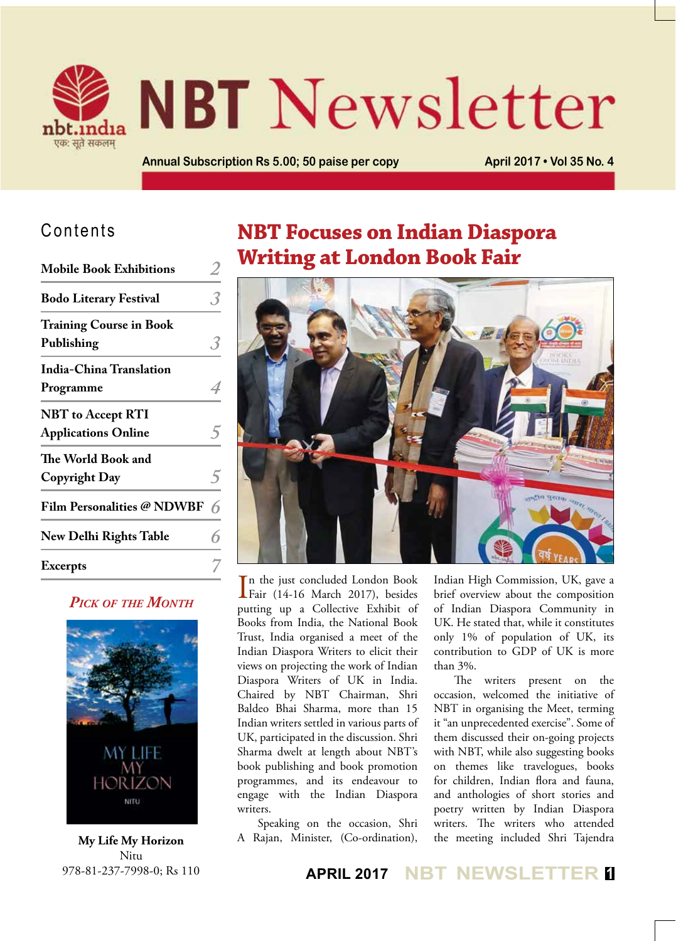

# **NBT** Newsletter

Annual Subscription Rs 5.00; 50 paise per copy **April 2017 • Vol 35 No. 4** 

#### Contents

| <b>Mobile Book Exhibitions</b>                         |  |
|--------------------------------------------------------|--|
| <b>Bodo Literary Festival</b>                          |  |
| <b>Training Course in Book</b><br>Publishing           |  |
| <b>India-China Translation</b><br>Programme            |  |
| <b>NBT</b> to Accept RTI<br><b>Applications Online</b> |  |
| The World Book and<br>Copyright Day                    |  |
| Film Personalities @ NDWBF                             |  |
| <b>New Delhi Rights Table</b>                          |  |
| <b>Excerpts</b>                                        |  |

#### *Pick of the Month*



**My Life My Horizon** Nitu 978-81-237-7998-0; Rs 110

# **NBT Focuses on Indian Diaspora Writing at London Book Fair**



In the just concluded London Book<br>Fair (14-16 March 2017), besides n the just concluded London Book putting up a Collective Exhibit of Books from India, the National Book Trust, India organised a meet of the Indian Diaspora Writers to elicit their views on projecting the work of Indian Diaspora Writers of UK in India. Chaired by NBT Chairman, Shri Baldeo Bhai Sharma, more than 15 Indian writers settled in various parts of UK, participated in the discussion. Shri Sharma dwelt at length about NBT's book publishing and book promotion programmes, and its endeavour to engage with the Indian Diaspora writers.

Speaking on the occasion, Shri A Rajan, Minister, (Co-ordination),

Indian High Commission, UK, gave a brief overview about the composition of Indian Diaspora Community in UK. He stated that, while it constitutes only 1% of population of UK, its contribution to GDP of UK is more than 3%.

The writers present on the occasion, welcomed the initiative of NBT in organising the Meet, terming it "an unprecedented exercise". Some of them discussed their on-going projects with NBT, while also suggesting books on themes like travelogues, books for children, Indian flora and fauna, and anthologies of short stories and poetry written by Indian Diaspora writers. The writers who attended the meeting included Shri Tajendra

**APRIL 2017 NBT NEWSLETTER <sup>1</sup>**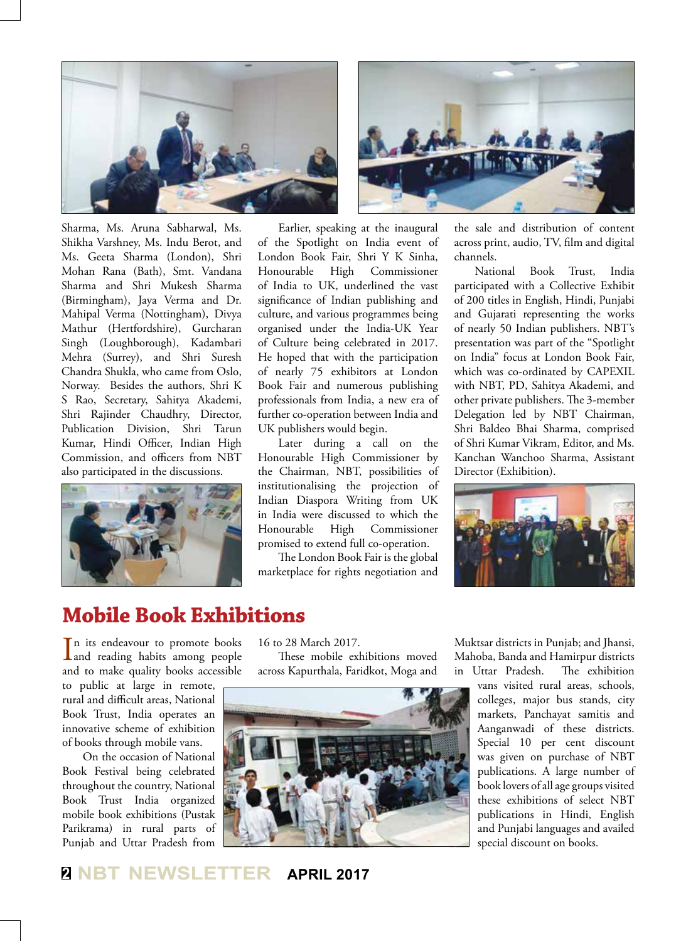



Sharma, Ms. Aruna Sabharwal, Ms. Shikha Varshney, Ms. Indu Berot, and Ms. Geeta Sharma (London), Shri Mohan Rana (Bath), Smt. Vandana Sharma and Shri Mukesh Sharma (Birmingham), Jaya Verma and Dr. Mahipal Verma (Nottingham), Divya Mathur (Hertfordshire), Gurcharan Singh (Loughborough), Kadambari Mehra (Surrey), and Shri Suresh Chandra Shukla, who came from Oslo, Norway. Besides the authors, Shri K S Rao, Secretary, Sahitya Akademi, Shri Rajinder Chaudhry, Director, Publication Division, Shri Tarun Kumar, Hindi Officer, Indian High Commission, and officers from NBT also participated in the discussions.



Earlier, speaking at the inaugural of the Spotlight on India event of London Book Fair, Shri Y K Sinha, Honourable High Commissioner of India to UK, underlined the vast significance of Indian publishing and culture, and various programmes being organised under the India-UK Year of Culture being celebrated in 2017. He hoped that with the participation of nearly 75 exhibitors at London Book Fair and numerous publishing professionals from India, a new era of further co-operation between India and UK publishers would begin.

Later during a call on the Honourable High Commissioner by the Chairman, NBT, possibilities of institutionalising the projection of Indian Diaspora Writing from UK in India were discussed to which the Honourable High Commissioner promised to extend full co-operation.

The London Book Fair is the global marketplace for rights negotiation and the sale and distribution of content across print, audio, TV, film and digital channels.

National Book Trust, India participated with a Collective Exhibit of 200 titles in English, Hindi, Punjabi and Gujarati representing the works of nearly 50 Indian publishers. NBT's presentation was part of the "Spotlight on India" focus at London Book Fair, which was co-ordinated by CAPEXIL with NBT, PD, Sahitya Akademi, and other private publishers. The 3-member Delegation led by NBT Chairman, Shri Baldeo Bhai Sharma, comprised of Shri Kumar Vikram, Editor, and Ms. Kanchan Wanchoo Sharma, Assistant Director (Exhibition).



#### **Mobile Book Exhibitions**

In its endeavour to promote books<br>and reading habits among people In its endeavour to promote books and to make quality books accessible

to public at large in remote, rural and difficult areas, National Book Trust, India operates an innovative scheme of exhibition of books through mobile vans.

On the occasion of National Book Festival being celebrated throughout the country, National Book Trust India organized mobile book exhibitions (Pustak Parikrama) in rural parts of Punjab and Uttar Pradesh from

16 to 28 March 2017.

These mobile exhibitions moved across Kapurthala, Faridkot, Moga and



Muktsar districts in Punjab; and Jhansi, Mahoba, Banda and Hamirpur districts

in Uttar Pradesh. The exhibition vans visited rural areas, schools, colleges, major bus stands, city markets, Panchayat samitis and Aanganwadi of these districts. Special 10 per cent discount was given on purchase of NBT publications. A large number of book lovers of all age groups visited these exhibitions of select NBT publications in Hindi, English and Punjabi languages and availed special discount on books.

**<sup>2</sup> NBT NEWSLETTER APRIL 2017**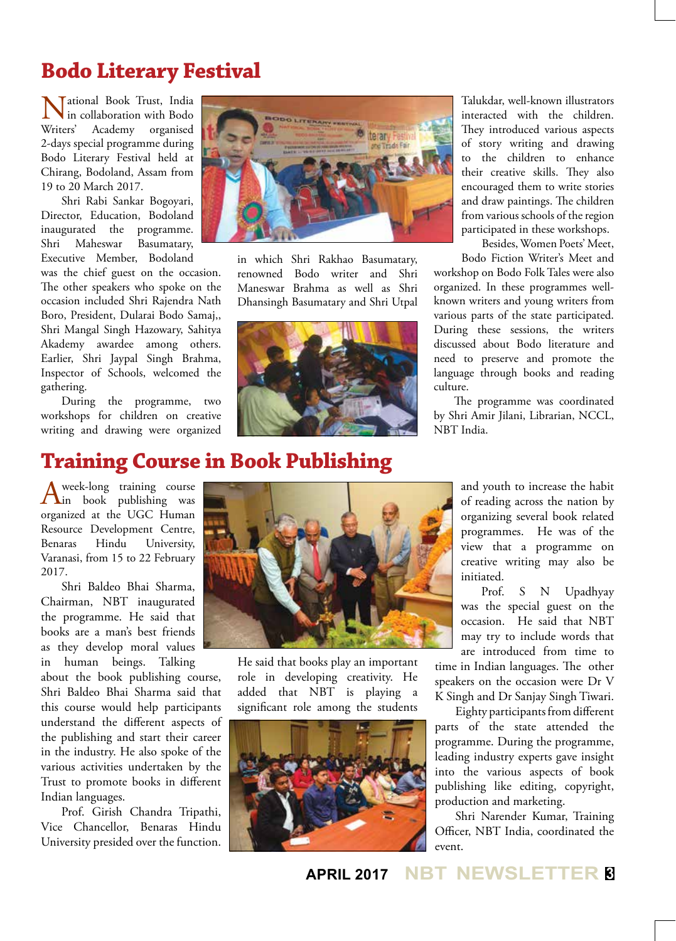## **Bodo Literary Festival**

**National Book Trust, India**<br>Writers' Academy organised in collaboration with Bodo organised 2-days special programme during Bodo Literary Festival held at Chirang, Bodoland, Assam from 19 to 20 March 2017.

Shri Rabi Sankar Bogoyari, Director, Education, Bodoland inaugurated the programme. Shri Maheswar Basumatary, Executive Member, Bodoland

was the chief guest on the occasion. The other speakers who spoke on the occasion included Shri Rajendra Nath Boro, President, Dularai Bodo Samaj,, Shri Mangal Singh Hazowary, Sahitya Akademy awardee among others. Earlier, Shri Jaypal Singh Brahma, Inspector of Schools, welcomed the gathering.

During the programme, two workshops for children on creative writing and drawing were organized



in which Shri Rakhao Basumatary, renowned Bodo writer and Shri Maneswar Brahma as well as Shri Dhansingh Basumatary and Shri Utpal



Talukdar, well-known illustrators interacted with the children. They introduced various aspects of story writing and drawing to the children to enhance their creative skills. They also encouraged them to write stories and draw paintings. The children from various schools of the region participated in these workshops.

Besides, Women Poets' Meet,

Bodo Fiction Writer's Meet and workshop on Bodo Folk Tales were also organized. In these programmes wellknown writers and young writers from various parts of the state participated. During these sessions, the writers discussed about Bodo literature and need to preserve and promote the language through books and reading culture.

The programme was coordinated by Shri Amir Jilani, Librarian, NCCL, NBT India.

# **Training Course in Book Publishing**

A week-long training course<br>
in book publishing was organized at the UGC Human Resource Development Centre, Benaras Hindu University, Varanasi, from 15 to 22 February 2017.

Shri Baldeo Bhai Sharma, Chairman, NBT inaugurated the programme. He said that books are a man's best friends as they develop moral values in human beings. Talking

about the book publishing course, Shri Baldeo Bhai Sharma said that this course would help participants understand the different aspects of the publishing and start their career in the industry. He also spoke of the various activities undertaken by the Trust to promote books in different Indian languages.

Prof. Girish Chandra Tripathi, Vice Chancellor, Benaras Hindu University presided over the function.



He said that books play an important role in developing creativity. He added that NBT is playing a significant role among the students



and youth to increase the habit of reading across the nation by organizing several book related programmes. He was of the view that a programme on creative writing may also be initiated.

Prof. S N Upadhyay was the special guest on the occasion. He said that NBT may try to include words that are introduced from time to

time in Indian languages. The other speakers on the occasion were Dr V K Singh and Dr Sanjay Singh Tiwari.

Eighty participants from different parts of the state attended the programme. During the programme, leading industry experts gave insight into the various aspects of book publishing like editing, copyright, production and marketing.

Shri Narender Kumar, Training Officer, NBT India, coordinated the event.

**APRIL 2017 NBT NEWSLETTER <sup>3</sup>**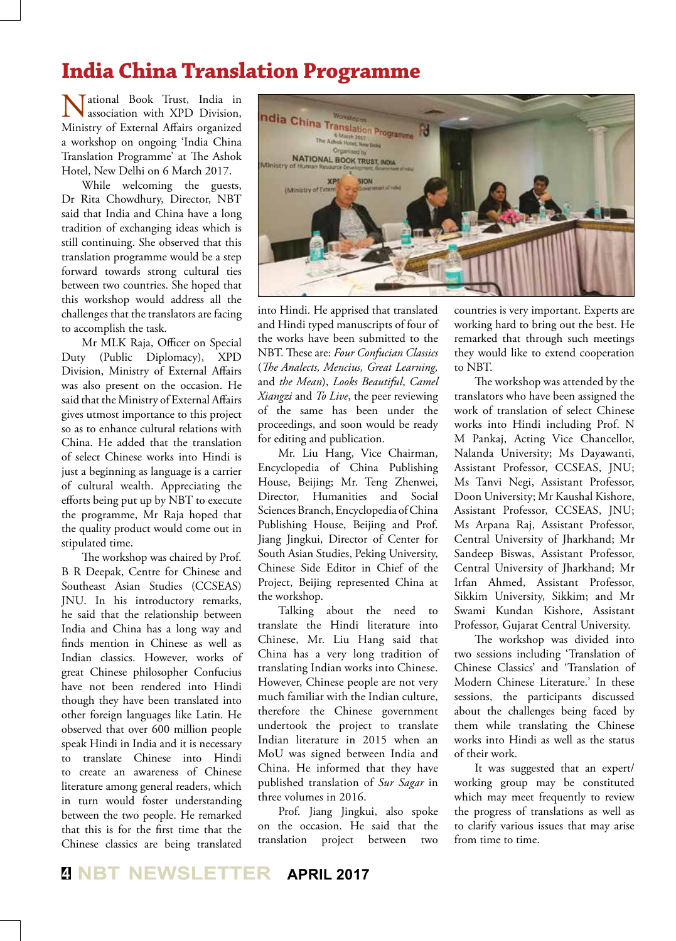## **India China Translation Programme**

Tational Book Trust, India in association with XPD Division, Ministry of External Affairs organized a workshop on ongoing 'India China Translation Programme' at The Ashok Hotel, New Delhi on 6 March 2017.

While welcoming the guests, Dr Rita Chowdhury, Director, NBT said that India and China have a long tradition of exchanging ideas which is still continuing. She observed that this translation programme would be a step forward towards strong cultural ties between two countries. She hoped that this workshop would address all the challenges that the translators are facing to accomplish the task.

Mr MLK Raja, Officer on Special Duty (Public Diplomacy), XPD Division, Ministry of External Affairs was also present on the occasion. He said that the Ministry of External Affairs gives utmost importance to this project so as to enhance cultural relations with China. He added that the translation of select Chinese works into Hindi is just a beginning as language is a carrier of cultural wealth. Appreciating the efforts being put up by NBT to execute the programme, Mr Raja hoped that the quality product would come out in stipulated time.

The workshop was chaired by Prof. B R Deepak, Centre for Chinese and Southeast Asian Studies (CCSEAS) JNU. In his introductory remarks, he said that the relationship between India and China has a long way and finds mention in Chinese as well as Indian classics. However, works of great Chinese philosopher Confucius have not been rendered into Hindi though they have been translated into other foreign languages like Latin. He observed that over 600 million people speak Hindi in India and it is necessary to translate Chinese into Hindi to create an awareness of Chinese literature among general readers, which in turn would foster understanding between the two people. He remarked that this is for the first time that the Chinese classics are being translated



into Hindi. He apprised that translated and Hindi typed manuscripts of four of the works have been submitted to the NBT. These are: *Four Confucian Classics* (*The Analects, Mencius, Great Learning,*  and *the Mean*), *Looks Beautiful*, *Camel Xiangzi* and *To Live*, the peer reviewing of the same has been under the proceedings, and soon would be ready for editing and publication.

Mr. Liu Hang, Vice Chairman, Encyclopedia of China Publishing House, Beijing; Mr. Teng Zhenwei, Director, Humanities and Social Sciences Branch, Encyclopedia of China Publishing House, Beijing and Prof. Jiang Jingkui, Director of Center for South Asian Studies, Peking University, Chinese Side Editor in Chief of the Project, Beijing represented China at the workshop.

Talking about the need to translate the Hindi literature into Chinese, Mr. Liu Hang said that China has a very long tradition of translating Indian works into Chinese. However, Chinese people are not very much familiar with the Indian culture, therefore the Chinese government undertook the project to translate Indian literature in 2015 when an MoU was signed between India and China. He informed that they have published translation of *Sur Sagar* in three volumes in 2016.

Prof. Jiang Jingkui, also spoke on the occasion. He said that the translation project between two countries is very important. Experts are working hard to bring out the best. He remarked that through such meetings they would like to extend cooperation to NBT.

The workshop was attended by the translators who have been assigned the work of translation of select Chinese works into Hindi including Prof. N M Pankaj, Acting Vice Chancellor, Nalanda University; Ms Dayawanti, Assistant Professor, CCSEAS, JNU; Ms Tanvi Negi, Assistant Professor, Doon University; Mr Kaushal Kishore, Assistant Professor, CCSEAS, JNU; Ms Arpana Raj, Assistant Professor, Central University of Jharkhand; Mr Sandeep Biswas, Assistant Professor, Central University of Jharkhand; Mr Irfan Ahmed, Assistant Professor, Sikkim University, Sikkim; and Mr Swami Kundan Kishore, Assistant Professor, Gujarat Central University.

The workshop was divided into two sessions including 'Translation of Chinese Classics' and 'Translation of Modern Chinese Literature.' In these sessions, the participants discussed about the challenges being faced by them while translating the Chinese works into Hindi as well as the status of their work.

It was suggested that an expert/ working group may be constituted which may meet frequently to review the progress of translations as well as to clarify various issues that may arise from time to time.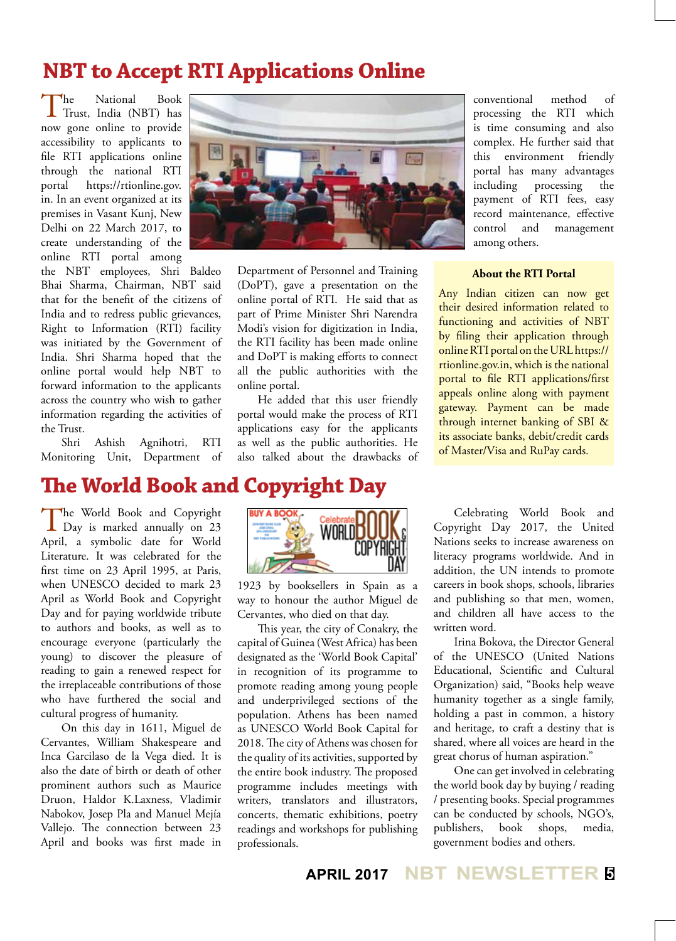### **NBT to Accept RTI Applications Online**

The National Book Trust, India (NBT) has now gone online to provide accessibility to applicants to file RTI applications online through the national RTI portal https://rtionline.gov. in. In an event organized at its premises in Vasant Kunj, New Delhi on 22 March 2017, to create understanding of the online RTI portal among

the NBT employees, Shri Baldeo Bhai Sharma, Chairman, NBT said that for the benefit of the citizens of India and to redress public grievances, Right to Information (RTI) facility was initiated by the Government of India. Shri Sharma hoped that the online portal would help NBT to forward information to the applicants across the country who wish to gather information regarding the activities of the Trust.

Shri Ashish Agnihotri, RTI Monitoring Unit, Department of

### **The World Book and Copyright Day**

The World Book and Copyright<br>Day is marked annually on 23 April, a symbolic date for World Literature. It was celebrated for the first time on 23 April 1995, at Paris, when UNESCO decided to mark 23 April as World Book and Copyright Day and for paying worldwide tribute to authors and books, as well as to encourage everyone (particularly the young) to discover the pleasure of reading to gain a renewed respect for the irreplaceable contributions of those who have furthered the social and cultural progress of humanity.

On this day in 1611, Miguel de Cervantes, William Shakespeare and Inca Garcilaso de la Vega died. It is also the date of birth or death of other prominent authors such as Maurice Druon, Haldor K.Laxness, Vladimir Nabokov, Josep Pla and Manuel Mejía Vallejo. The connection between 23 April and books was first made in



Department of Personnel and Training (DoPT), gave a presentation on the online portal of RTI. He said that as part of Prime Minister Shri Narendra Modi's vision for digitization in India, the RTI facility has been made online and DoPT is making efforts to connect all the public authorities with the online portal.

He added that this user friendly portal would make the process of RTI applications easy for the applicants as well as the public authorities. He also talked about the drawbacks of



1923 by booksellers in Spain as a way to honour the author Miguel de Cervantes, who died on that day.

This year, the city of Conakry, the capital of Guinea (West Africa) has been designated as the 'World Book Capital' in recognition of its programme to promote reading among young people and underprivileged sections of the population. Athens has been named as UNESCO World Book Capital for 2018. The city of Athens was chosen for the quality of its activities, supported by the entire book industry. The proposed programme includes meetings with writers, translators and illustrators, concerts, thematic exhibitions, poetry readings and workshops for publishing professionals.

conventional method of processing the RTI which is time consuming and also complex. He further said that this environment friendly portal has many advantages including processing the payment of RTI fees, easy record maintenance, effective control and management among others.

#### **About the RTI Portal**

Any Indian citizen can now get their desired information related to functioning and activities of NBT by filing their application through online RTI portal on the URL https:// rtionline.gov.in, which is the national portal to file RTI applications/first appeals online along with payment gateway. Payment can be made through internet banking of SBI & its associate banks, debit/credit cards of Master/Visa and RuPay cards.

Celebrating World Book and Copyright Day 2017, the United Nations seeks to increase awareness on literacy programs worldwide. And in addition, the UN intends to promote careers in book shops, schools, libraries and publishing so that men, women, and children all have access to the written word.

Irina Bokova, the Director General of the UNESCO (United Nations Educational, Scientific and Cultural Organization) said, "Books help weave humanity together as a single family, holding a past in common, a history and heritage, to craft a destiny that is shared, where all voices are heard in the great chorus of human aspiration."

One can get involved in celebrating the world book day by buying / reading / presenting books. Special programmes can be conducted by schools, NGO's, publishers, book shops, media, government bodies and others.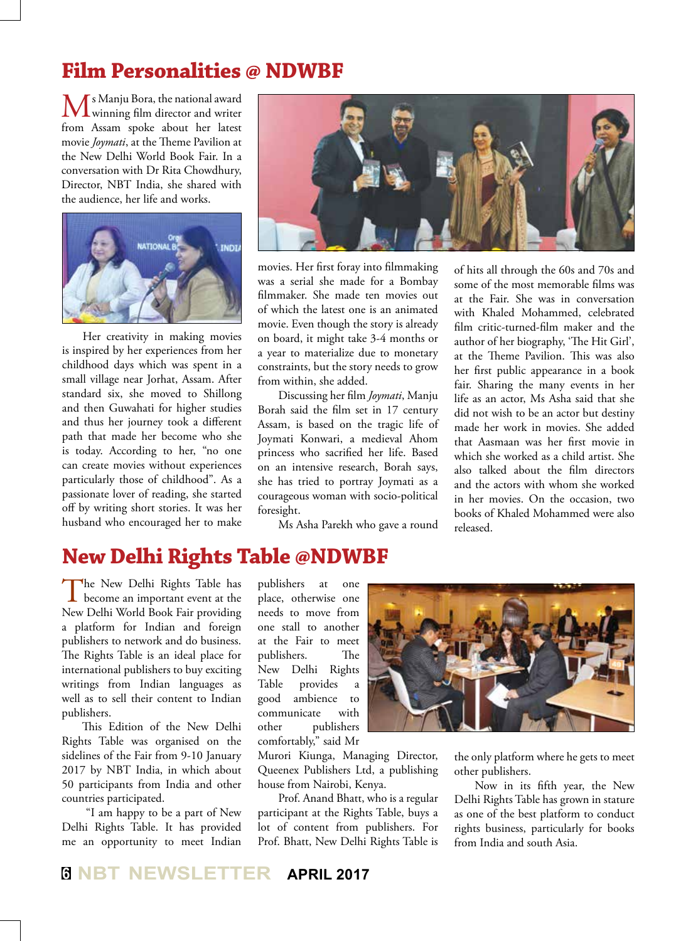## **Film Personalities @ NDWBF**

s Manju Bora, the national award **L**winning film director and writer from Assam spoke about her latest movie *Joymati*, at the Theme Pavilion at the New Delhi World Book Fair. In a conversation with Dr Rita Chowdhury, Director, NBT India, she shared with the audience, her life and works.



Her creativity in making movies is inspired by her experiences from her childhood days which was spent in a small village near Jorhat, Assam. After standard six, she moved to Shillong and then Guwahati for higher studies and thus her journey took a different path that made her become who she is today. According to her, "no one can create movies without experiences particularly those of childhood". As a passionate lover of reading, she started off by writing short stories. It was her husband who encouraged her to make



movies. Her first foray into filmmaking was a serial she made for a Bombay filmmaker. She made ten movies out of which the latest one is an animated movie. Even though the story is already on board, it might take 3-4 months or a year to materialize due to monetary constraints, but the story needs to grow from within, she added.

Discussing her film *Joymati*, Manju Borah said the film set in 17 century Assam, is based on the tragic life of Joymati Konwari, a medieval Ahom princess who sacrified her life. Based on an intensive research, Borah says, she has tried to portray Joymati as a courageous woman with socio-political foresight.

Ms Asha Parekh who gave a round

of hits all through the 60s and 70s and some of the most memorable films was at the Fair. She was in conversation with Khaled Mohammed, celebrated film critic-turned-film maker and the author of her biography, 'The Hit Girl', at the Theme Pavilion. This was also her first public appearance in a book fair. Sharing the many events in her life as an actor, Ms Asha said that she did not wish to be an actor but destiny made her work in movies. She added that Aasmaan was her first movie in which she worked as a child artist. She also talked about the film directors and the actors with whom she worked in her movies. On the occasion, two books of Khaled Mohammed were also released.

#### **New Delhi Rights Table @NDWBF**

The New Delhi Rights Table has<br>become an important event at the<br> $\sum_{n=1}^{\infty}$ New Delhi World Book Fair providing a platform for Indian and foreign publishers to network and do business. The Rights Table is an ideal place for international publishers to buy exciting writings from Indian languages as well as to sell their content to Indian publishers.

This Edition of the New Delhi Rights Table was organised on the sidelines of the Fair from 9-10 January 2017 by NBT India, in which about 50 participants from India and other countries participated.

 "I am happy to be a part of New Delhi Rights Table. It has provided me an opportunity to meet Indian

publishers at one place, otherwise one needs to move from one stall to another at the Fair to meet publishers. The New Delhi Rights Table provides a good ambience to communicate with other publishers comfortably," said Mr

Murori Kiunga, Managing Director,

Queenex Publishers Ltd, a publishing house from Nairobi, Kenya.

Prof. Anand Bhatt, who is a regular participant at the Rights Table, buys a lot of content from publishers. For Prof. Bhatt, New Delhi Rights Table is



the only platform where he gets to meet other publishers.

Now in its fifth year, the New Delhi Rights Table has grown in stature as one of the best platform to conduct rights business, particularly for books from India and south Asia.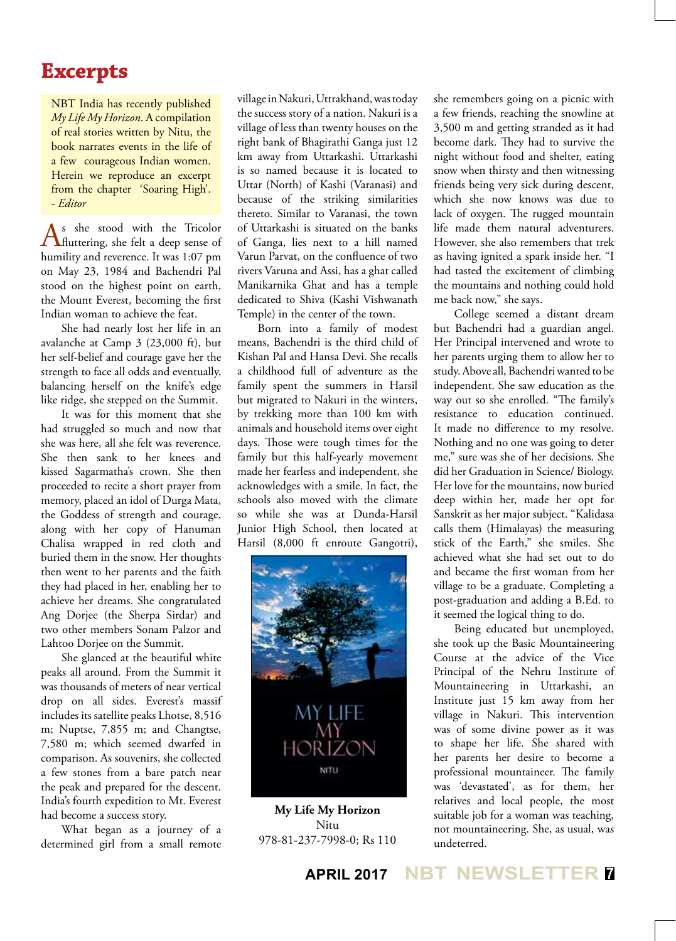#### **Excerpts**

NBT India has recently published *My Life My Horizon*. A compilation of real stories written by Nitu, the book narrates events in the life of a few courageous Indian women. Herein we reproduce an excerpt from the chapter 'Soaring High'. *- Editor*

 $\bigwedge^s$  she stood with the Tricolor  $\bigwedge^s$  fluttering, she felt a deep sense of humility and reverence. It was 1:07 pm on May 23, 1984 and Bachendri Pal stood on the highest point on earth, the Mount Everest, becoming the first Indian woman to achieve the feat.

She had nearly lost her life in an avalanche at Camp 3 (23,000 ft), but her self-belief and courage gave her the strength to face all odds and eventually, balancing herself on the knife's edge like ridge, she stepped on the Summit.

It was for this moment that she had struggled so much and now that she was here, all she felt was reverence. She then sank to her knees and kissed Sagarmatha's crown. She then proceeded to recite a short prayer from memory, placed an idol of Durga Mata, the Goddess of strength and courage, along with her copy of Hanuman Chalisa wrapped in red cloth and buried them in the snow. Her thoughts then went to her parents and the faith they had placed in her, enabling her to achieve her dreams. She congratulated Ang Dorjee (the Sherpa Sirdar) and two other members Sonam Palzor and Lahtoo Dorjee on the Summit.

She glanced at the beautiful white peaks all around. From the Summit it was thousands of meters of near vertical drop on all sides. Everest's massif includes its satellite peaks Lhotse, 8,516 m; Nuptse, 7,855 m; and Changtse, 7,580 m; which seemed dwarfed in comparison. As souvenirs, she collected a few stones from a bare patch near the peak and prepared for the descent. India's fourth expedition to Mt. Everest had become a success story.

What began as a journey of a determined girl from a small remote

village in Nakuri, Uttrakhand, was today the success story of a nation. Nakuri is a village of less than twenty houses on the right bank of Bhagirathi Ganga just 12 km away from Uttarkashi. Uttarkashi is so named because it is located to Uttar (North) of Kashi (Varanasi) and because of the striking similarities thereto. Similar to Varanasi, the town of Uttarkashi is situated on the banks of Ganga, lies next to a hill named Varun Parvat, on the confluence of two rivers Varuna and Assi, has a ghat called Manikarnika Ghat and has a temple dedicated to Shiva (Kashi Vishwanath Temple) in the center of the town.

Born into a family of modest means, Bachendri is the third child of Kishan Pal and Hansa Devi. She recalls a childhood full of adventure as the family spent the summers in Harsil but migrated to Nakuri in the winters, by trekking more than 100 km with animals and household items over eight days. Those were tough times for the family but this half-yearly movement made her fearless and independent, she acknowledges with a smile. In fact, the schools also moved with the climate so while she was at Dunda-Harsil Junior High School, then located at Harsil (8,000 ft enroute Gangotri),



**My Life My Horizon** Nitu 978-81-237-7998-0; Rs 110

she remembers going on a picnic with a few friends, reaching the snowline at 3,500 m and getting stranded as it had become dark. They had to survive the night without food and shelter, eating snow when thirsty and then witnessing friends being very sick during descent, which she now knows was due to lack of oxygen. The rugged mountain life made them natural adventurers. However, she also remembers that trek as having ignited a spark inside her. "I had tasted the excitement of climbing the mountains and nothing could hold me back now," she says.

College seemed a distant dream but Bachendri had a guardian angel. Her Principal intervened and wrote to her parents urging them to allow her to study. Above all, Bachendri wanted to be independent. She saw education as the way out so she enrolled. "The family's resistance to education continued. It made no difference to my resolve. Nothing and no one was going to deter me," sure was she of her decisions. She did her Graduation in Science/ Biology. Her love for the mountains, now buried deep within her, made her opt for Sanskrit as her major subject. "Kalidasa calls them (Himalayas) the measuring stick of the Earth," she smiles. She achieved what she had set out to do and became the first woman from her village to be a graduate. Completing a post-graduation and adding a B.Ed. to it seemed the logical thing to do.

Being educated but unemployed, she took up the Basic Mountaineering Course at the advice of the Vice Principal of the Nehru Institute of Mountaineering in Uttarkashi, an Institute just 15 km away from her village in Nakuri. This intervention was of some divine power as it was to shape her life. She shared with her parents her desire to become a professional mountaineer. The family was 'devastated', as for them, her relatives and local people, the most suitable job for a woman was teaching, not mountaineering. She, as usual, was undeterred.

**APRIL 2017 NBT NEWSLETTER <sup>7</sup>**